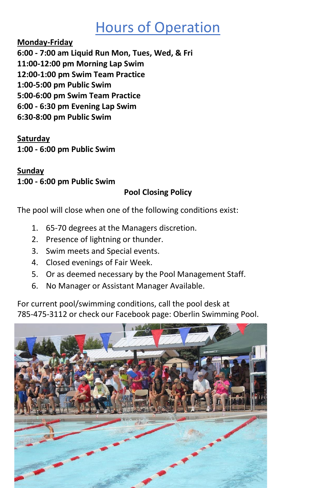#### Hours of Operation

**Monday-Friday**

**6:00 - 7:00 am Liquid Run Mon, Tues, Wed, & Fri**

**11:00-12:00 pm Morning Lap Swim**

**12:00-1:00 pm Swim Team Practice**

**1:00-5:00 pm Public Swim** 

**5:00-6:00 pm Swim Team Practice**

**6:00 - 6:30 pm Evening Lap Swim**

**6:30-8:00 pm Public Swim**

**Saturday 1:00 - 6:00 pm Public Swim** 

**Sunday 1:00 - 6:00 pm Public Swim**

#### **Pool Closing Policy**

The pool will close when one of the following conditions exist:

- 1. 65-70 degrees at the Managers discretion.
- 2. Presence of lightning or thunder.
- 3. Swim meets and Special events.
- 4. Closed evenings of Fair Week.
- 5. Or as deemed necessary by the Pool Management Staff.
- 6. No Manager or Assistant Manager Available.

For current pool/swimming conditions, call the pool desk at 785-475-3112 or check our Facebook page: Oberlin Swimming Pool.

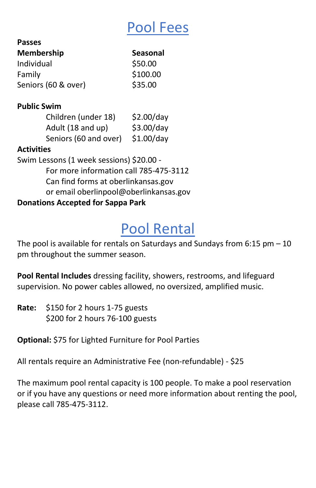### Pool Fees

| <b>Seasonal</b> |
|-----------------|
| \$50.00         |
| \$100.00        |
| \$35.00         |
|                 |

#### **Public Swim**

**Passes**

| Children (under 18)   | \$2.00/day |
|-----------------------|------------|
| Adult (18 and up)     | \$3.00/day |
| Seniors (60 and over) | \$1.00/day |

#### **Activities**

Swim Lessons (1 week sessions) \$20.00 - For more information call 785-475-3112 Can find forms at oberlinkansas.gov or email oberlinpool@oberlinkansas.gov **Donations Accepted for Sappa Park**

# Pool Rental

The pool is available for rentals on Saturdays and Sundays from  $6:15$  pm  $-10$ pm throughout the summer season.

**Pool Rental Includes** dressing facility, showers, restrooms, and lifeguard supervision. No power cables allowed, no oversized, amplified music.

**Rate:** \$150 for 2 hours 1-75 guests \$200 for 2 hours 76-100 guests

**Optional:** \$75 for Lighted Furniture for Pool Parties

All rentals require an Administrative Fee (non-refundable) - \$25

The maximum pool rental capacity is 100 people. To make a pool reservation or if you have any questions or need more information about renting the pool, please call 785-475-3112.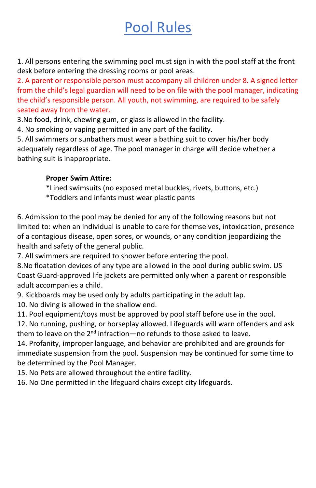## Pool Rules

1. All persons entering the swimming pool must sign in with the pool staff at the front desk before entering the dressing rooms or pool areas.

2. A parent or responsible person must accompany all children under 8. A signed letter from the child's legal guardian will need to be on file with the pool manager, indicating the child's responsible person. All youth, not swimming, are required to be safely seated away from the water.

3.No food, drink, chewing gum, or glass is allowed in the facility.

4. No smoking or vaping permitted in any part of the facility.

5. All swimmers or sunbathers must wear a bathing suit to cover his/her body adequately regardless of age. The pool manager in charge will decide whether a bathing suit is inappropriate.

#### **Proper Swim Attire:**

\*Lined swimsuits (no exposed metal buckles, rivets, buttons, etc.)

\*Toddlers and infants must wear plastic pants

6. Admission to the pool may be denied for any of the following reasons but not limited to: when an individual is unable to care for themselves, intoxication, presence of a contagious disease, open sores, or wounds, or any condition jeopardizing the health and safety of the general public.

7. All swimmers are required to shower before entering the pool.

8.No floatation devices of any type are allowed in the pool during public swim. US Coast Guard-approved life jackets are permitted only when a parent or responsible adult accompanies a child.

9. Kickboards may be used only by adults participating in the adult lap.

10. No diving is allowed in the shallow end.

11. Pool equipment/toys must be approved by pool staff before use in the pool.

12. No running, pushing, or horseplay allowed. Lifeguards will warn offenders and ask them to leave on the  $2^{nd}$  infraction—no refunds to those asked to leave.

14. Profanity, improper language, and behavior are prohibited and are grounds for immediate suspension from the pool. Suspension may be continued for some time to be determined by the Pool Manager.

15. No Pets are allowed throughout the entire facility.

16. No One permitted in the lifeguard chairs except city lifeguards.